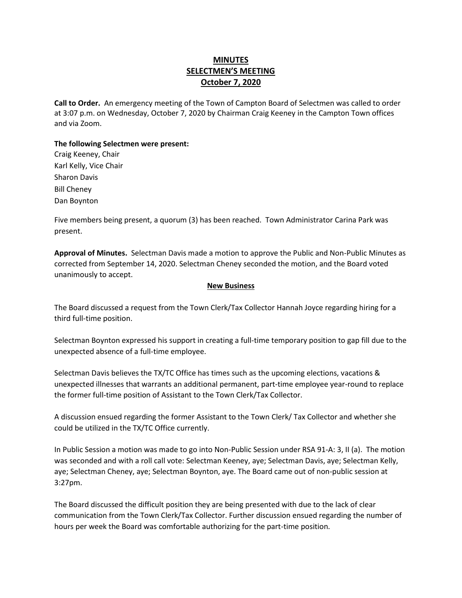## **MINUTES SELECTMEN'S MEETING October 7, 2020**

**Call to Order.** An emergency meeting of the Town of Campton Board of Selectmen was called to order at 3:07 p.m. on Wednesday, October 7, 2020 by Chairman Craig Keeney in the Campton Town offices and via Zoom.

## **The following Selectmen were present:**

Craig Keeney, Chair Karl Kelly, Vice Chair Sharon Davis Bill Cheney Dan Boynton

Five members being present, a quorum (3) has been reached.Town Administrator Carina Park was present.

**Approval of Minutes.** Selectman Davis made a motion to approve the Public and Non-Public Minutes as corrected from September 14, 2020. Selectman Cheney seconded the motion, and the Board voted unanimously to accept.

## **New Business**

The Board discussed a request from the Town Clerk/Tax Collector Hannah Joyce regarding hiring for a third full-time position.

Selectman Boynton expressed his support in creating a full-time temporary position to gap fill due to the unexpected absence of a full-time employee.

Selectman Davis believes the TX/TC Office has times such as the upcoming elections, vacations & unexpected illnesses that warrants an additional permanent, part-time employee year-round to replace the former full-time position of Assistant to the Town Clerk/Tax Collector.

A discussion ensued regarding the former Assistant to the Town Clerk/ Tax Collector and whether she could be utilized in the TX/TC Office currently.

In Public Session a motion was made to go into Non-Public Session under RSA 91-A: 3, II (a). The motion was seconded and with a roll call vote: Selectman Keeney, aye; Selectman Davis, aye; Selectman Kelly, aye; Selectman Cheney, aye; Selectman Boynton, aye. The Board came out of non-public session at 3:27pm.

The Board discussed the difficult position they are being presented with due to the lack of clear communication from the Town Clerk/Tax Collector. Further discussion ensued regarding the number of hours per week the Board was comfortable authorizing for the part-time position.